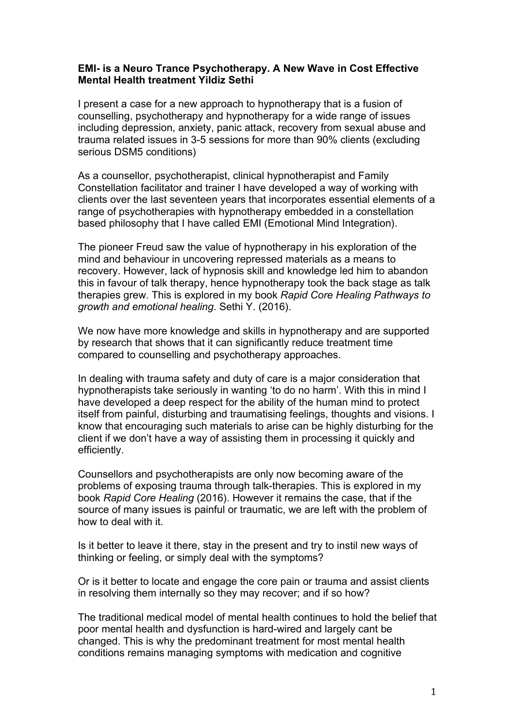## **EMI- is a Neuro Trance Psychotherapy. A New Wave in Cost Effective Mental Health treatment Yildiz Sethi**

I present a case for a new approach to hypnotherapy that is a fusion of counselling, psychotherapy and hypnotherapy for a wide range of issues including depression, anxiety, panic attack, recovery from sexual abuse and trauma related issues in 3-5 sessions for more than 90% clients (excluding serious DSM5 conditions)

As a counsellor, psychotherapist, clinical hypnotherapist and Family Constellation facilitator and trainer I have developed a way of working with clients over the last seventeen years that incorporates essential elements of a range of psychotherapies with hypnotherapy embedded in a constellation based philosophy that I have called EMI (Emotional Mind Integration).

The pioneer Freud saw the value of hypnotherapy in his exploration of the mind and behaviour in uncovering repressed materials as a means to recovery. However, lack of hypnosis skill and knowledge led him to abandon this in favour of talk therapy, hence hypnotherapy took the back stage as talk therapies grew. This is explored in my book *Rapid Core Healing Pathways to growth and emotional healing*. Sethi Y. (2016).

We now have more knowledge and skills in hypnotherapy and are supported by research that shows that it can significantly reduce treatment time compared to counselling and psychotherapy approaches.

In dealing with trauma safety and duty of care is a major consideration that hypnotherapists take seriously in wanting 'to do no harm'. With this in mind I have developed a deep respect for the ability of the human mind to protect itself from painful, disturbing and traumatising feelings, thoughts and visions. I know that encouraging such materials to arise can be highly disturbing for the client if we don't have a way of assisting them in processing it quickly and efficiently.

Counsellors and psychotherapists are only now becoming aware of the problems of exposing trauma through talk-therapies. This is explored in my book *Rapid Core Healing* (2016). However it remains the case, that if the source of many issues is painful or traumatic, we are left with the problem of how to deal with it.

Is it better to leave it there, stay in the present and try to instil new ways of thinking or feeling, or simply deal with the symptoms?

Or is it better to locate and engage the core pain or trauma and assist clients in resolving them internally so they may recover; and if so how?

The traditional medical model of mental health continues to hold the belief that poor mental health and dysfunction is hard-wired and largely cant be changed. This is why the predominant treatment for most mental health conditions remains managing symptoms with medication and cognitive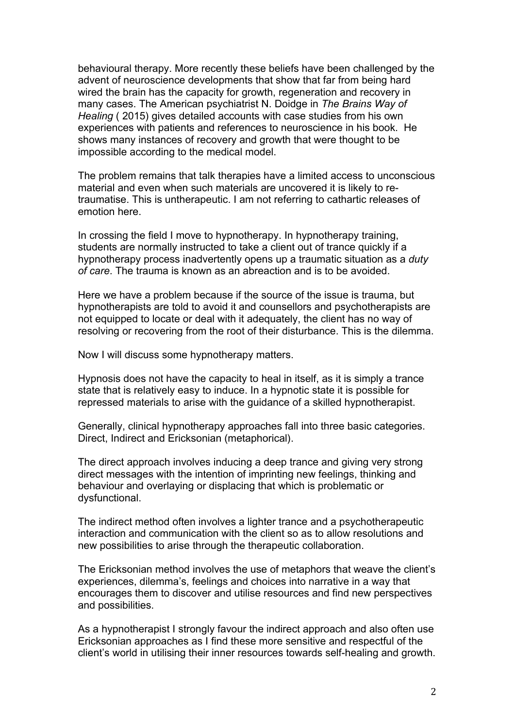behavioural therapy. More recently these beliefs have been challenged by the advent of neuroscience developments that show that far from being hard wired the brain has the capacity for growth, regeneration and recovery in many cases. The American psychiatrist N. Doidge in *The Brains Way of Healing* ( 2015) gives detailed accounts with case studies from his own experiences with patients and references to neuroscience in his book. He shows many instances of recovery and growth that were thought to be impossible according to the medical model.

The problem remains that talk therapies have a limited access to unconscious material and even when such materials are uncovered it is likely to retraumatise. This is untherapeutic. I am not referring to cathartic releases of emotion here.

In crossing the field I move to hypnotherapy. In hypnotherapy training, students are normally instructed to take a client out of trance quickly if a hypnotherapy process inadvertently opens up a traumatic situation as a *duty of care*. The trauma is known as an abreaction and is to be avoided.

Here we have a problem because if the source of the issue is trauma, but hypnotherapists are told to avoid it and counsellors and psychotherapists are not equipped to locate or deal with it adequately, the client has no way of resolving or recovering from the root of their disturbance. This is the dilemma.

Now I will discuss some hypnotherapy matters.

Hypnosis does not have the capacity to heal in itself, as it is simply a trance state that is relatively easy to induce. In a hypnotic state it is possible for repressed materials to arise with the guidance of a skilled hypnotherapist.

Generally, clinical hypnotherapy approaches fall into three basic categories. Direct, Indirect and Ericksonian (metaphorical).

The direct approach involves inducing a deep trance and giving very strong direct messages with the intention of imprinting new feelings, thinking and behaviour and overlaying or displacing that which is problematic or dysfunctional.

The indirect method often involves a lighter trance and a psychotherapeutic interaction and communication with the client so as to allow resolutions and new possibilities to arise through the therapeutic collaboration.

The Ericksonian method involves the use of metaphors that weave the client's experiences, dilemma's, feelings and choices into narrative in a way that encourages them to discover and utilise resources and find new perspectives and possibilities.

As a hypnotherapist I strongly favour the indirect approach and also often use Ericksonian approaches as I find these more sensitive and respectful of the client's world in utilising their inner resources towards self-healing and growth.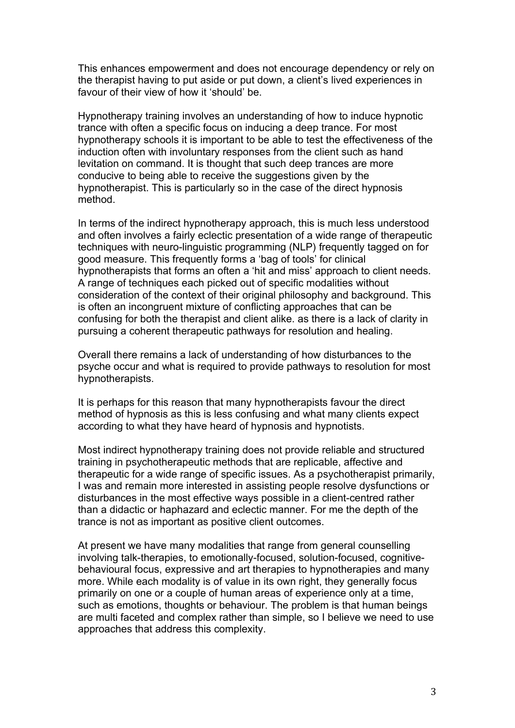This enhances empowerment and does not encourage dependency or rely on the therapist having to put aside or put down, a client's lived experiences in favour of their view of how it 'should' be.

Hypnotherapy training involves an understanding of how to induce hypnotic trance with often a specific focus on inducing a deep trance. For most hypnotherapy schools it is important to be able to test the effectiveness of the induction often with involuntary responses from the client such as hand levitation on command. It is thought that such deep trances are more conducive to being able to receive the suggestions given by the hypnotherapist. This is particularly so in the case of the direct hypnosis method.

In terms of the indirect hypnotherapy approach, this is much less understood and often involves a fairly eclectic presentation of a wide range of therapeutic techniques with neuro-linguistic programming (NLP) frequently tagged on for good measure. This frequently forms a 'bag of tools' for clinical hypnotherapists that forms an often a 'hit and miss' approach to client needs. A range of techniques each picked out of specific modalities without consideration of the context of their original philosophy and background. This is often an incongruent mixture of conflicting approaches that can be confusing for both the therapist and client alike. as there is a lack of clarity in pursuing a coherent therapeutic pathways for resolution and healing.

Overall there remains a lack of understanding of how disturbances to the psyche occur and what is required to provide pathways to resolution for most hypnotherapists.

It is perhaps for this reason that many hypnotherapists favour the direct method of hypnosis as this is less confusing and what many clients expect according to what they have heard of hypnosis and hypnotists.

Most indirect hypnotherapy training does not provide reliable and structured training in psychotherapeutic methods that are replicable, affective and therapeutic for a wide range of specific issues. As a psychotherapist primarily, I was and remain more interested in assisting people resolve dysfunctions or disturbances in the most effective ways possible in a client-centred rather than a didactic or haphazard and eclectic manner. For me the depth of the trance is not as important as positive client outcomes.

At present we have many modalities that range from general counselling involving talk-therapies, to emotionally-focused, solution-focused, cognitivebehavioural focus, expressive and art therapies to hypnotherapies and many more. While each modality is of value in its own right, they generally focus primarily on one or a couple of human areas of experience only at a time, such as emotions, thoughts or behaviour. The problem is that human beings are multi faceted and complex rather than simple, so I believe we need to use approaches that address this complexity.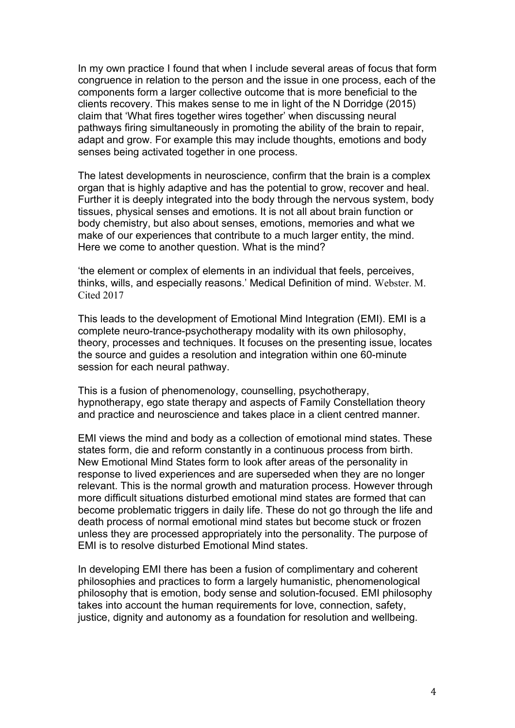In my own practice I found that when I include several areas of focus that form congruence in relation to the person and the issue in one process, each of the components form a larger collective outcome that is more beneficial to the clients recovery. This makes sense to me in light of the N Dorridge (2015) claim that 'What fires together wires together' when discussing neural pathways firing simultaneously in promoting the ability of the brain to repair, adapt and grow. For example this may include thoughts, emotions and body senses being activated together in one process.

The latest developments in neuroscience, confirm that the brain is a complex organ that is highly adaptive and has the potential to grow, recover and heal. Further it is deeply integrated into the body through the nervous system, body tissues, physical senses and emotions. It is not all about brain function or body chemistry, but also about senses, emotions, memories and what we make of our experiences that contribute to a much larger entity, the mind. Here we come to another question. What is the mind?

'the element or complex of elements in an individual that feels, perceives, thinks, wills, and especially reasons.' Medical Definition of mind. Webster. M. Cited 2017

This leads to the development of Emotional Mind Integration (EMI). EMI is a complete neuro-trance-psychotherapy modality with its own philosophy, theory, processes and techniques. It focuses on the presenting issue, locates the source and guides a resolution and integration within one 60-minute session for each neural pathway.

This is a fusion of phenomenology, counselling, psychotherapy, hypnotherapy, ego state therapy and aspects of Family Constellation theory and practice and neuroscience and takes place in a client centred manner.

EMI views the mind and body as a collection of emotional mind states. These states form, die and reform constantly in a continuous process from birth. New Emotional Mind States form to look after areas of the personality in response to lived experiences and are superseded when they are no longer relevant. This is the normal growth and maturation process. However through more difficult situations disturbed emotional mind states are formed that can become problematic triggers in daily life. These do not go through the life and death process of normal emotional mind states but become stuck or frozen unless they are processed appropriately into the personality. The purpose of EMI is to resolve disturbed Emotional Mind states.

In developing EMI there has been a fusion of complimentary and coherent philosophies and practices to form a largely humanistic, phenomenological philosophy that is emotion, body sense and solution-focused. EMI philosophy takes into account the human requirements for love, connection, safety, justice, dignity and autonomy as a foundation for resolution and wellbeing.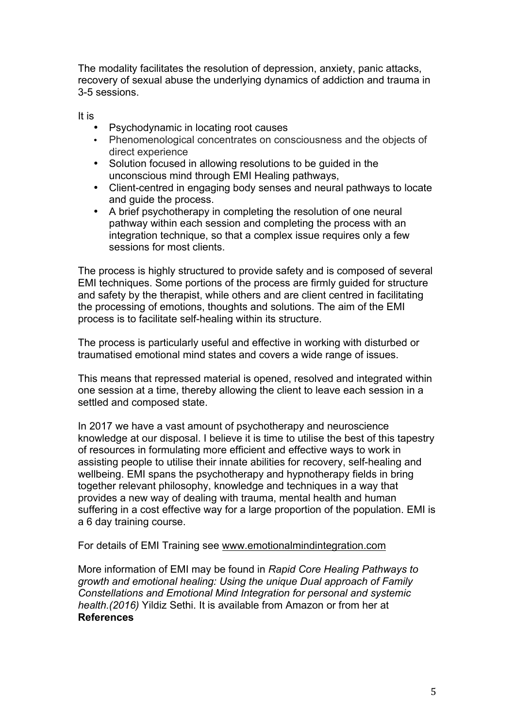The modality facilitates the resolution of depression, anxiety, panic attacks, recovery of sexual abuse the underlying dynamics of addiction and trauma in 3-5 sessions.

It is

- Psychodynamic in locating root causes<br>• Phenomenological concentrates on con
- Phenomenological concentrates on consciousness and the objects of direct experience
- Solution focused in allowing resolutions to be guided in the unconscious mind through EMI Healing pathways,
- Client-centred in engaging body senses and neural pathways to locate and guide the process.
- A brief psychotherapy in completing the resolution of one neural pathway within each session and completing the process with an integration technique, so that a complex issue requires only a few sessions for most clients.

The process is highly structured to provide safety and is composed of several EMI techniques. Some portions of the process are firmly guided for structure and safety by the therapist, while others and are client centred in facilitating the processing of emotions, thoughts and solutions. The aim of the EMI process is to facilitate self-healing within its structure.

The process is particularly useful and effective in working with disturbed or traumatised emotional mind states and covers a wide range of issues.

This means that repressed material is opened, resolved and integrated within one session at a time, thereby allowing the client to leave each session in a settled and composed state.

In 2017 we have a vast amount of psychotherapy and neuroscience knowledge at our disposal. I believe it is time to utilise the best of this tapestry of resources in formulating more efficient and effective ways to work in assisting people to utilise their innate abilities for recovery, self-healing and wellbeing. EMI spans the psychotherapy and hypnotherapy fields in bring together relevant philosophy, knowledge and techniques in a way that provides a new way of dealing with trauma, mental health and human suffering in a cost effective way for a large proportion of the population. EMI is a 6 day training course.

For details of EMI Training see www.emotionalmindintegration.com

More information of EMI may be found in *Rapid Core Healing Pathways to growth and emotional healing: Using the unique Dual approach of Family Constellations and Emotional Mind Integration for personal and systemic health.(2016)* Yildiz Sethi. It is available from Amazon or from her at **References**